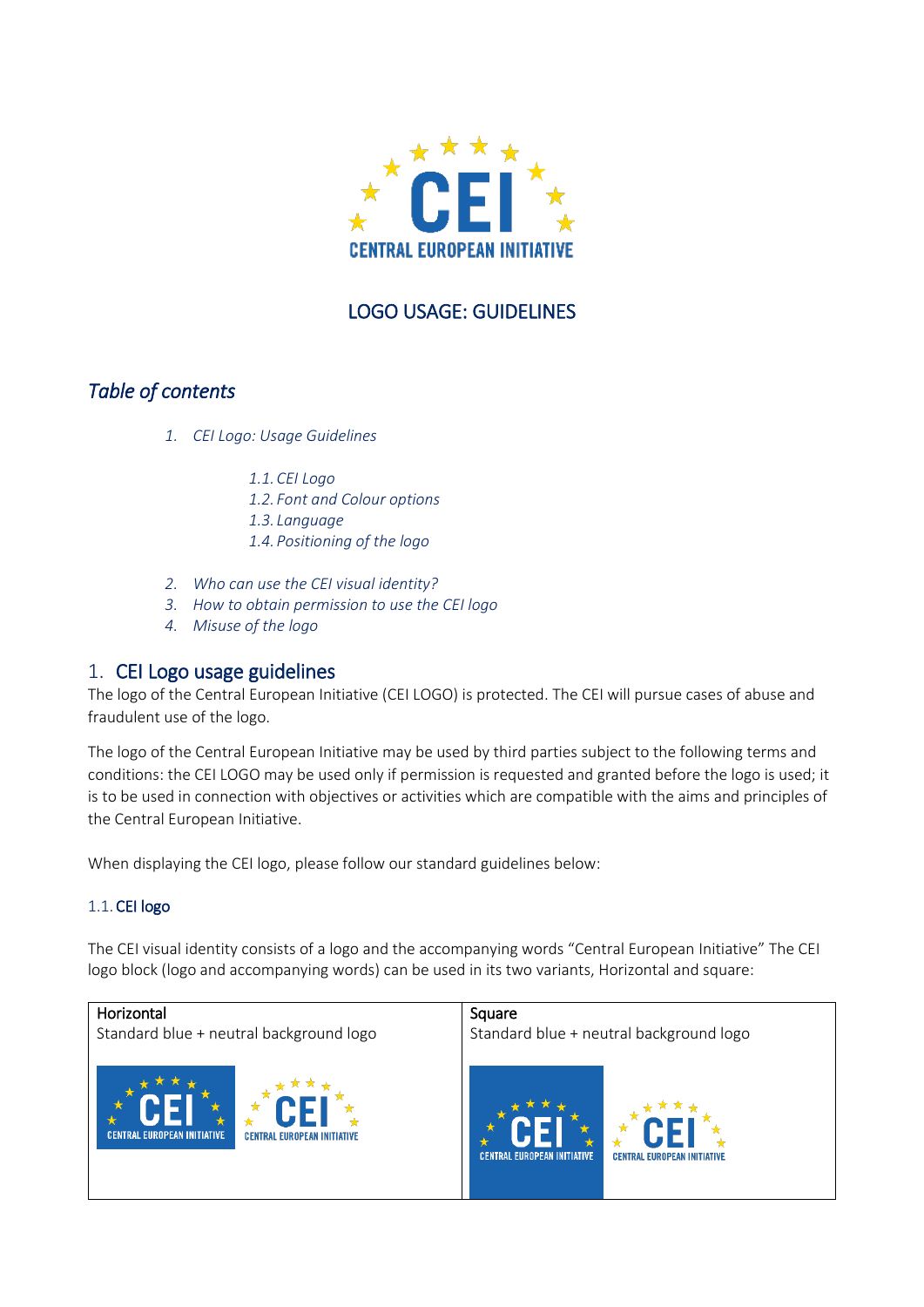

# LOGO USAGE: GUIDELINES

# *Table of contents*

*1. CEI Logo: Usage Guidelines*

*1.1.CEI Logo*

- *1.2. Font and Colour options*
- *1.3. Language*
- *1.4.Positioning of the logo*
- *2. Who can use the CEI visual identity?*
- *3. How to obtain permission to use the CEI logo*
- *4. Misuse of the logo*

## 1. CEI Logo usage guidelines

The logo of the Central European Initiative (CEI LOGO) is protected. The CEI will pursue cases of abuse and fraudulent use of the logo.

The logo of the Central European Initiative may be used by third parties subject to the following terms and conditions: the CEI LOGO may be used only if permission is requested and granted before the logo is used; it is to be used in connection with objectives or activities which are compatible with the aims and principles of the Central European Initiative.

When displaying the CEI logo, please follow our standard guidelines below:

## 1.1.CEI logo

The CEI visual identity consists of a logo and the accompanying words "Central European Initiative" The CEI logo block (logo and accompanying words) can be used in its two variants, Horizontal and square:

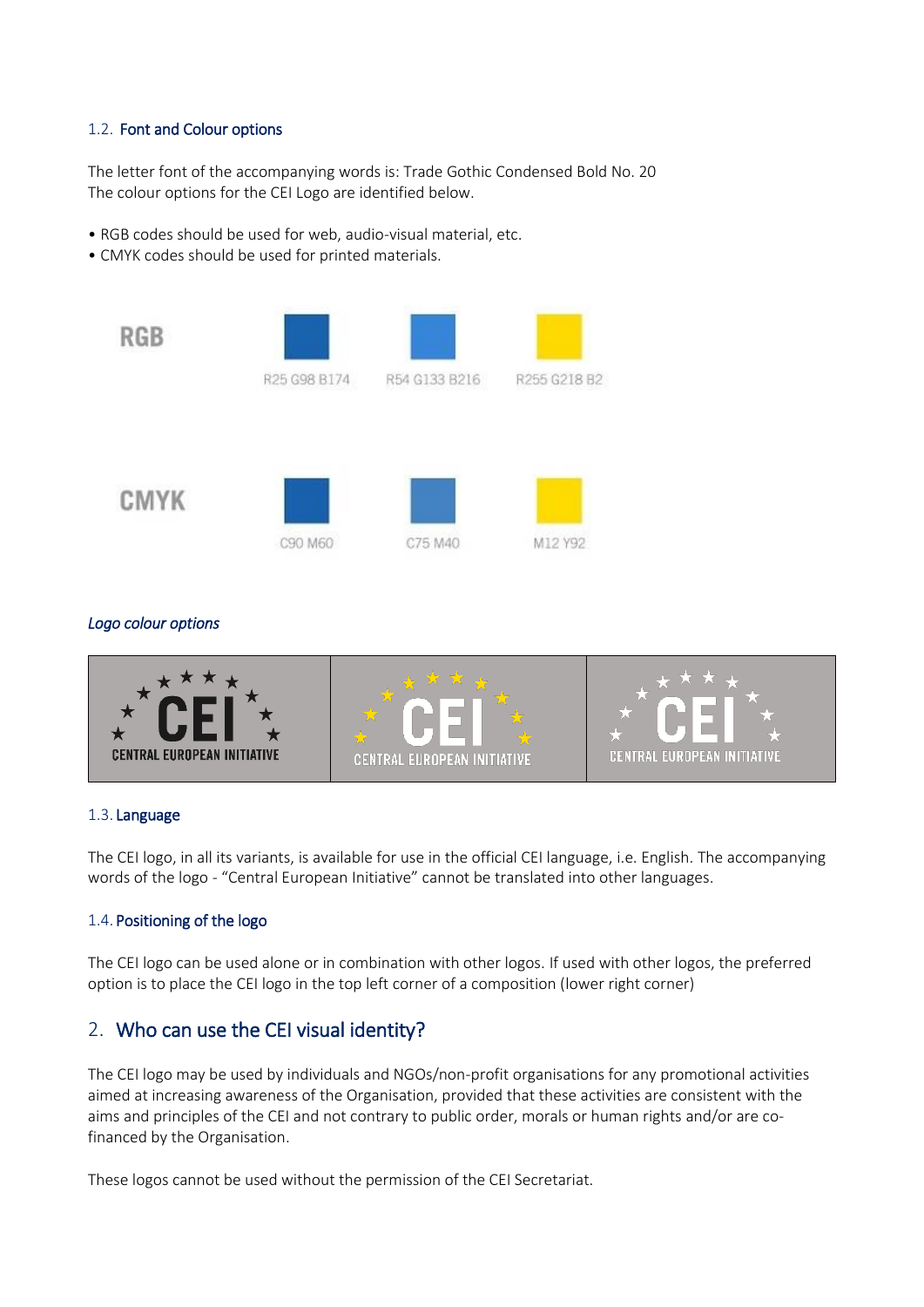#### 1.2. Font and Colour options

The letter font of the accompanying words is: Trade Gothic Condensed Bold No. 20 The colour options for the CEI Logo are identified below.

- RGB codes should be used for web, audio-visual material, etc.
- CMYK codes should be used for printed materials.



### *Logo colour options*



#### 1.3. Language

The CEI logo, in all its variants, is available for use in the official CEI language, i.e. English. The accompanying words of the logo - "Central European Initiative" cannot be translated into other languages.

#### 1.4. Positioning of the logo

The CEI logo can be used alone or in combination with other logos. If used with other logos, the preferred option is to place the CEI logo in the top left corner of a composition (lower right corner)

## 2. Who can use the CEI visual identity?

The CEI logo may be used by individuals and NGOs/non-profit organisations for any promotional activities aimed at increasing awareness of the Organisation, provided that these activities are consistent with the aims and principles of the CEI and not contrary to public order, morals or human rights and/or are cofinanced by the Organisation.

These logos cannot be used without the permission of the CEI Secretariat.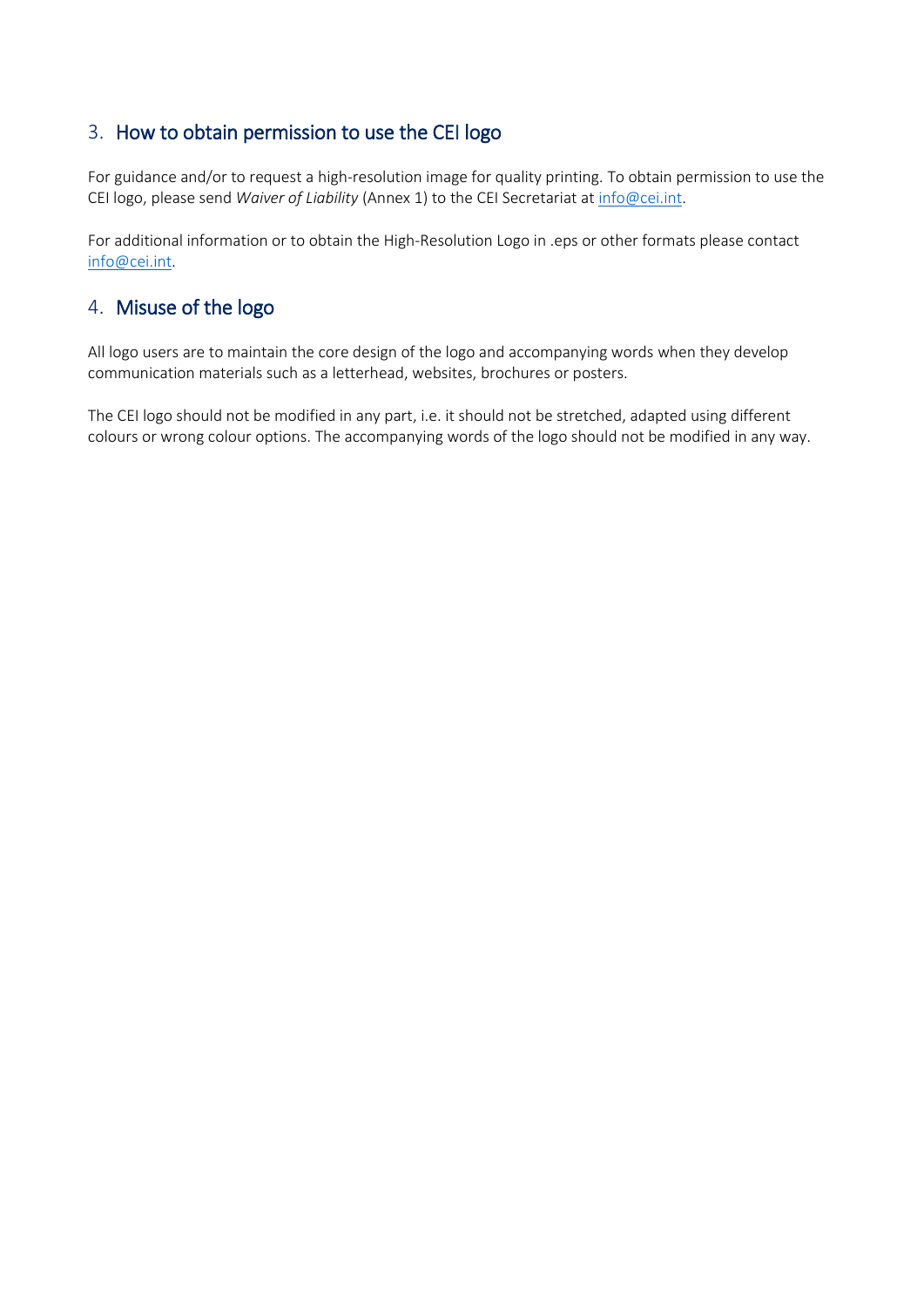# 3. How to obtain permission to use the CEI logo

For guidance and/or to request a high-resolution image for quality printing. To obtain permission to use the CEI logo, please send *Waiver of Liability* (Annex 1) to the CEI Secretariat a[t info@cei.int.](mailto:info@cei.int)

For additional information or to obtain the High-Resolution Logo in .eps or other formats please contact [info@cei.int.](mailto:info@cei.int)

# 4. Misuse of the logo

All logo users are to maintain the core design of the logo and accompanying words when they develop communication materials such as a letterhead, websites, brochures or posters.

The CEI logo should not be modified in any part, i.e. it should not be stretched, adapted using different colours or wrong colour options. The accompanying words of the logo should not be modified in any way.